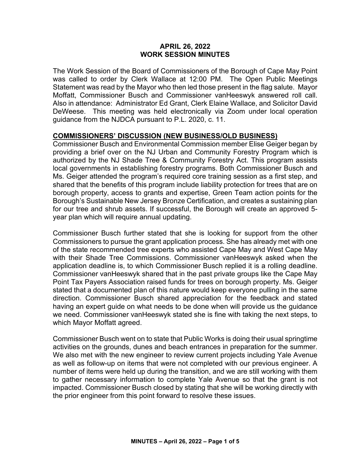#### **APRIL 26, 2022 WORK SESSION MINUTES**

The Work Session of the Board of Commissioners of the Borough of Cape May Point was called to order by Clerk Wallace at 12:00 PM. The Open Public Meetings Statement was read by the Mayor who then led those present in the flag salute. Mayor Moffatt, Commissioner Busch and Commissioner vanHeeswyk answered roll call. Also in attendance: Administrator Ed Grant, Clerk Elaine Wallace, and Solicitor David DeWeese. This meeting was held electronically via Zoom under local operation guidance from the NJDCA pursuant to P.L. 2020, c. 11.

#### **COMMISSIONERS' DISCUSSION (NEW BUSINESS/OLD BUSINESS)**

Commissioner Busch and Environmental Commission member Elise Geiger began by providing a brief over on the NJ Urban and Community Forestry Program which is authorized by the NJ Shade Tree & Community Forestry Act. This program assists local governments in establishing forestry programs. Both Commissioner Busch and Ms. Geiger attended the program's required core training session as a first step, and shared that the benefits of this program include liability protection for trees that are on borough property, access to grants and expertise, Green Team action points for the Borough's Sustainable New Jersey Bronze Certification, and creates a sustaining plan for our tree and shrub assets. If successful, the Borough will create an approved 5 year plan which will require annual updating.

Commissioner Busch further stated that she is looking for support from the other Commissioners to pursue the grant application process. She has already met with one of the state recommended tree experts who assisted Cape May and West Cape May with their Shade Tree Commissions. Commissioner vanHeeswyk asked when the application deadline is, to which Commissioner Busch replied it is a rolling deadline. Commissioner vanHeeswyk shared that in the past private groups like the Cape May Point Tax Payers Association raised funds for trees on borough property. Ms. Geiger stated that a documented plan of this nature would keep everyone pulling in the same direction. Commissioner Busch shared appreciation for the feedback and stated having an expert guide on what needs to be done when will provide us the guidance we need. Commissioner vanHeeswyk stated she is fine with taking the next steps, to which Mayor Moffatt agreed.

Commissioner Busch went on to state that Public Works is doing their usual springtime activities on the grounds, dunes and beach entrances in preparation for the summer. We also met with the new engineer to review current projects including Yale Avenue as well as follow-up on items that were not completed with our previous engineer. A number of items were held up during the transition, and we are still working with them to gather necessary information to complete Yale Avenue so that the grant is not impacted. Commissioner Busch closed by stating that she will be working directly with the prior engineer from this point forward to resolve these issues.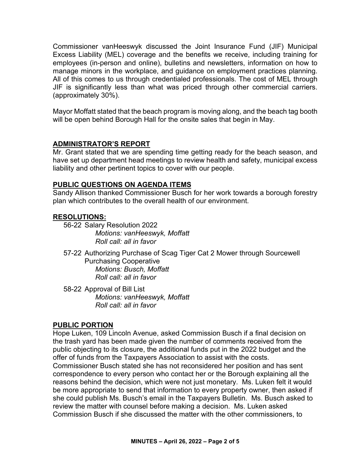Commissioner vanHeeswyk discussed the Joint Insurance Fund (JIF) Municipal Excess Liability (MEL) coverage and the benefits we receive, including training for employees (in-person and online), bulletins and newsletters, information on how to manage minors in the workplace, and guidance on employment practices planning. All of this comes to us through credentialed professionals. The cost of MEL through JIF is significantly less than what was priced through other commercial carriers. (approximately 30%).

Mayor Moffatt stated that the beach program is moving along, and the beach tag booth will be open behind Borough Hall for the onsite sales that begin in May.

# **ADMINISTRATOR'S REPORT**

Mr. Grant stated that we are spending time getting ready for the beach season, and have set up department head meetings to review health and safety, municipal excess liability and other pertinent topics to cover with our people.

## **PUBLIC QUESTIONS ON AGENDA ITEMS**

Sandy Allison thanked Commissioner Busch for her work towards a borough forestry plan which contributes to the overall health of our environment.

## **RESOLUTIONS:**

56-22 Salary Resolution 2022 *Motions: vanHeeswyk, Moffatt Roll call: all in favor* 

- 57-22 Authorizing Purchase of Scag Tiger Cat 2 Mower through Sourcewell Purchasing Cooperative *Motions: Busch, Moffatt Roll call: all in favor*
- 58-22 Approval of Bill List *Motions: vanHeeswyk, Moffatt Roll call: all in favor*

# **PUBLIC PORTION**

Hope Luken, 109 Lincoln Avenue, asked Commission Busch if a final decision on the trash yard has been made given the number of comments received from the public objecting to its closure, the additional funds put in the 2022 budget and the offer of funds from the Taxpayers Association to assist with the costs. Commissioner Busch stated she has not reconsidered her position and has sent correspondence to every person who contact her or the Borough explaining all the reasons behind the decision, which were not just monetary. Ms. Luken felt it would be more appropriate to send that information to every property owner, then asked if she could publish Ms. Busch's email in the Taxpayers Bulletin. Ms. Busch asked to review the matter with counsel before making a decision. Ms. Luken asked Commission Busch if she discussed the matter with the other commissioners, to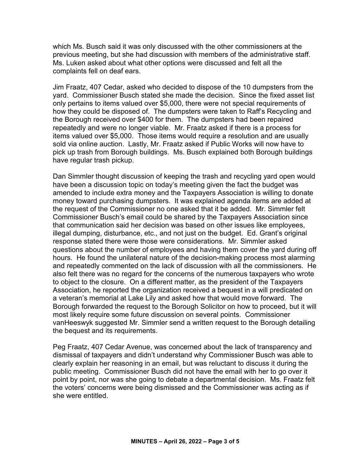which Ms. Busch said it was only discussed with the other commissioners at the previous meeting, but she had discussion with members of the administrative staff. Ms. Luken asked about what other options were discussed and felt all the complaints fell on deaf ears.

Jim Fraatz, 407 Cedar, asked who decided to dispose of the 10 dumpsters from the yard. Commissioner Busch stated she made the decision. Since the fixed asset list only pertains to items valued over \$5,000, there were not special requirements of how they could be disposed of. The dumpsters were taken to Raff's Recycling and the Borough received over \$400 for them. The dumpsters had been repaired repeatedly and were no longer viable. Mr. Fraatz asked if there is a process for items valued over \$5,000. Those items would require a resolution and are usually sold via online auction. Lastly, Mr. Fraatz asked if Public Works will now have to pick up trash from Borough buildings. Ms. Busch explained both Borough buildings have regular trash pickup.

Dan Simmler thought discussion of keeping the trash and recycling yard open would have been a discussion topic on today's meeting given the fact the budget was amended to include extra money and the Taxpayers Association is willing to donate money toward purchasing dumpsters. It was explained agenda items are added at the request of the Commissioner no one asked that it be added. Mr. Simmler felt Commissioner Busch's email could be shared by the Taxpayers Association since that communication said her decision was based on other issues like employees, illegal dumping, disturbance, etc., and not just on the budget. Ed. Grant's original response stated there were those were considerations. Mr. Simmler asked questions about the number of employees and having them cover the yard during off hours. He found the unilateral nature of the decision-making process most alarming and repeatedly commented on the lack of discussion with all the commissioners. He also felt there was no regard for the concerns of the numerous taxpayers who wrote to object to the closure. On a different matter, as the president of the Taxpayers Association, he reported the organization received a bequest in a will predicated on a veteran's memorial at Lake Lily and asked how that would move forward. The Borough forwarded the request to the Borough Solicitor on how to proceed, but it will most likely require some future discussion on several points. Commissioner vanHeeswyk suggested Mr. Simmler send a written request to the Borough detailing the bequest and its requirements.

Peg Fraatz, 407 Cedar Avenue, was concerned about the lack of transparency and dismissal of taxpayers and didn't understand why Commissioner Busch was able to clearly explain her reasoning in an email, but was reluctant to discuss it during the public meeting. Commissioner Busch did not have the email with her to go over it point by point, nor was she going to debate a departmental decision. Ms. Fraatz felt the voters' concerns were being dismissed and the Commissioner was acting as if she were entitled.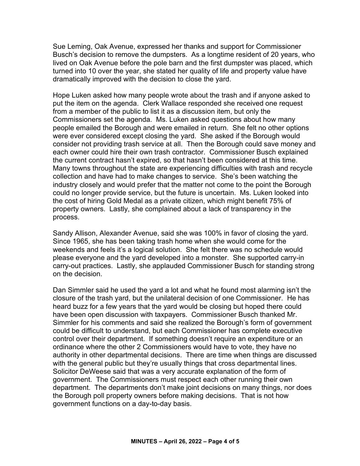Sue Leming, Oak Avenue, expressed her thanks and support for Commissioner Busch's decision to remove the dumpsters. As a longtime resident of 20 years, who lived on Oak Avenue before the pole barn and the first dumpster was placed, which turned into 10 over the year, she stated her quality of life and property value have dramatically improved with the decision to close the yard.

Hope Luken asked how many people wrote about the trash and if anyone asked to put the item on the agenda. Clerk Wallace responded she received one request from a member of the public to list it as a discussion item, but only the Commissioners set the agenda. Ms. Luken asked questions about how many people emailed the Borough and were emailed in return. She felt no other options were ever considered except closing the yard. She asked if the Borough would consider not providing trash service at all. Then the Borough could save money and each owner could hire their own trash contractor. Commissioner Busch explained the current contract hasn't expired, so that hasn't been considered at this time. Many towns throughout the state are experiencing difficulties with trash and recycle collection and have had to make changes to service. She's been watching the industry closely and would prefer that the matter not come to the point the Borough could no longer provide service, but the future is uncertain. Ms. Luken looked into the cost of hiring Gold Medal as a private citizen, which might benefit 75% of property owners. Lastly, she complained about a lack of transparency in the process.

Sandy Allison, Alexander Avenue, said she was 100% in favor of closing the yard. Since 1965, she has been taking trash home when she would come for the weekends and feels it's a logical solution. She felt there was no schedule would please everyone and the yard developed into a monster. She supported carry-in carry-out practices. Lastly, she applauded Commissioner Busch for standing strong on the decision.

Dan Simmler said he used the yard a lot and what he found most alarming isn't the closure of the trash yard, but the unilateral decision of one Commissioner. He has heard buzz for a few years that the yard would be closing but hoped there could have been open discussion with taxpayers. Commissioner Busch thanked Mr. Simmler for his comments and said she realized the Borough's form of government could be difficult to understand, but each Commissioner has complete executive control over their department. If something doesn't require an expenditure or an ordinance where the other 2 Commissioners would have to vote, they have no authority in other departmental decisions. There are time when things are discussed with the general public but they're usually things that cross departmental lines. Solicitor DeWeese said that was a very accurate explanation of the form of government. The Commissioners must respect each other running their own department. The departments don't make joint decisions on many things, nor does the Borough poll property owners before making decisions. That is not how government functions on a day-to-day basis.